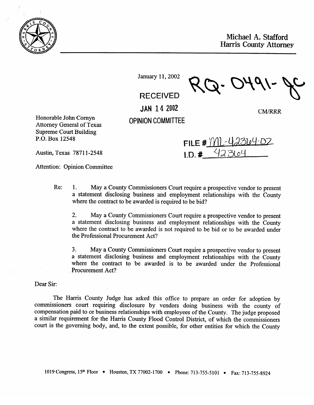

Michael A. Stafford Harris County Attorney

**CM/RRR** 

January 11, 2002

RECEIVED

JAN **14** 2002

**OPINION COMMITTEE** 

Honorable John Cornyn<br>Attorney General of Texas Supreme Court Building  $\sum_{i=1}^{\infty}$  Dec 12548  $\frac{1}{2}$ .  $\frac{1}{2}$ 

FILE #  $W1 - 42304.02$  $LD.$ #

Austin, Texas 78711-2548

Attention: Opinion Committee

 $Re:$ 1. May a County Commissioners Court require a prospective vendor to present a statement disclosing business and employment relationships with the County a statement disclosing business and employment relationships with the County where the contract to be awarded is required to be bid?

 $2.$ 2. May a County Commissioners Court require a prospective vendor to present a statement disclosing business and employment relationships with the County where the contract to be awarded is not required to be bid or to be awarded under the Professional Procurement Act?

 $3.$ 3. May a County Commissioners Court require a prospective vendor to present where the contract to be awarded is to be awarded under the Professional Procurement Act?

Dear Sir:

The Harris County Judge has asked this office to prepare an order for adoption by commissioners court requiring disclosure by vendors doing business with the county of compensation paid to or business relationships with employees of the County. The judge proposed a similar requirement for the Harris County Flood Control District, of which the commissioners court is the governing body, and, to the extent possible, for other entities for which the County